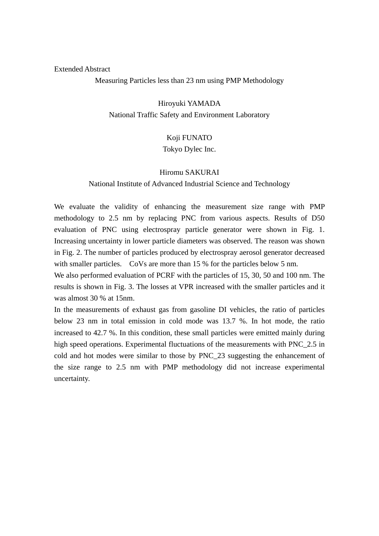#### Extended Abstract

Measuring Particles less than 23 nm using PMP Methodology

Hiroyuki YAMADA National Traffic Safety and Environment Laboratory

#### Koji FUNATO

Tokyo Dylec Inc.

#### Hiromu SAKURAI

#### National Institute of Advanced Industrial Science and Technology

We evaluate the validity of enhancing the measurement size range with PMP methodology to 2.5 nm by replacing PNC from various aspects. Results of D50 evaluation of PNC using electrospray particle generator were shown in Fig. 1. Increasing uncertainty in lower particle diameters was observed. The reason was shown in Fig. 2. The number of particles produced by electrospray aerosol generator decreased with smaller particles. CoVs are more than 15 % for the particles below 5 nm.

We also performed evaluation of PCRF with the particles of 15, 30, 50 and 100 nm. The results is shown in Fig. 3. The losses at VPR increased with the smaller particles and it was almost 30 % at 15nm.

In the measurements of exhaust gas from gasoline DI vehicles, the ratio of particles below 23 nm in total emission in cold mode was 13.7 %. In hot mode, the ratio increased to 42.7 %. In this condition, these small particles were emitted mainly during high speed operations. Experimental fluctuations of the measurements with PNC 2.5 in cold and hot modes were similar to those by PNC\_23 suggesting the enhancement of the size range to 2.5 nm with PMP methodology did not increase experimental uncertainty.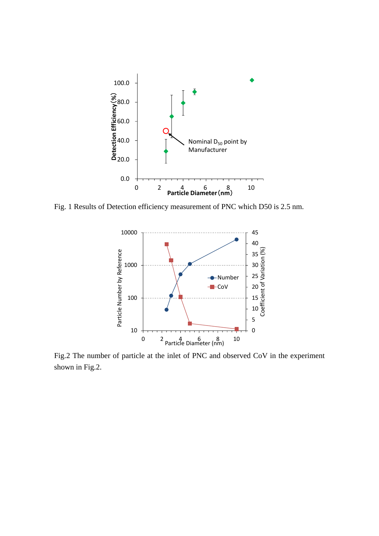

Fig. 1 Results of Detection efficiency measurement of PNC which D50 is 2.5 nm.



Fig.2 The number of particle at the inlet of PNC and observed CoV in the experiment shown in Fig.2.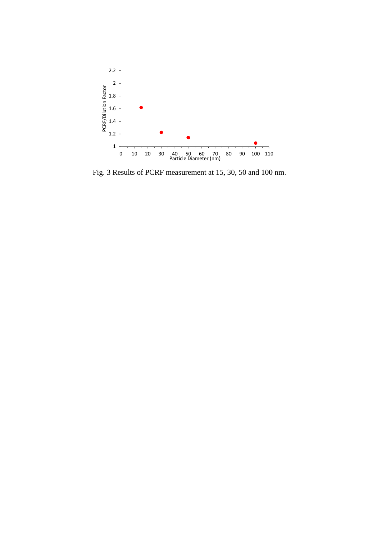

Fig. 3 Results of PCRF measurement at 15, 30, 50 and 100 nm.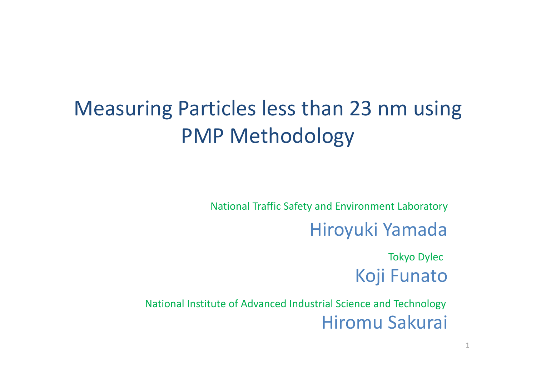# Measuring Particles less than 23 nm using PMP Methodology

National Traffic Safety and Environment Laboratory

Hiroyuki Yamada

Tokyo Dylec Koji Funato

National Institute of Advanced Industrial Science and Technology Hiromu Sakurai

1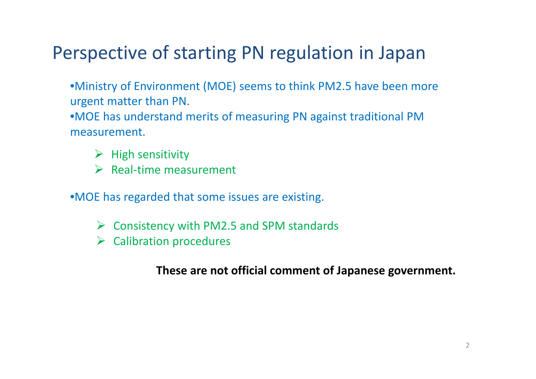## Perspective of starting PN regulation in Japan

•Ministry of Environment (MOE) seems to think PM2.5 have been more urgent matter than PN.

•MOE has understand merits of measuring PN against traditional PM measurement.

- $\triangleright$  High sensitivity
- $\triangleright$  Real-time measurement

•MOE has regarded that some issues are existing.

- $\triangleright$  Consistency with PM2.5 and SPM standards
- $\triangleright$  Calibration procedures

#### **These are not official comment of Japanese government.**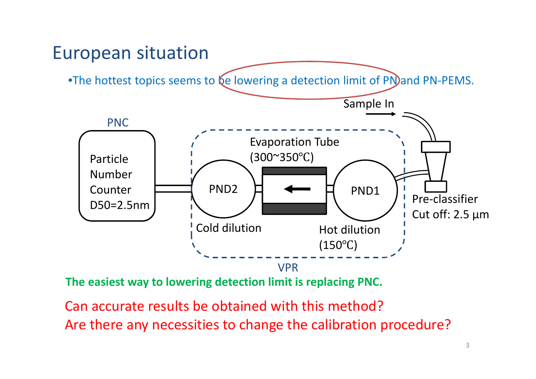#### European situation

•The hottest topics seems to  $e$  lowering a detection limit of PN)and PN-PEMS.



**The easiest way to lowering detection limit is replacing PNC.**

Can accurate results be obtained with this method? Are there any necessities to change the calibration procedure?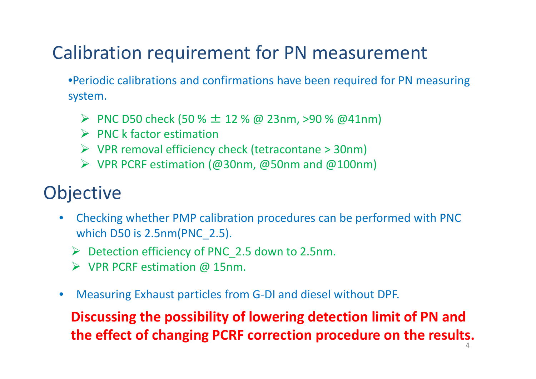## Calibration requirement for PN measurement

•Periodic calibrations and confirmations have been required for PN measuring system.

- PNC D50 check (50 %  $\pm$  12 % @ 23nm, >90 % @41nm)
- $\triangleright$  PNC k factor estimation
- $\triangleright$  VPR removal efficiency check (tetracontane > 30nm)
- VPR PCRF estimation (@30nm, @50nm and @100nm)

## **Objective**

- $\bullet$  Checking whether PMP calibration procedures can be performed with PNC which D50 is 2.5nm(PNC\_2.5).
	- Detection efficiency of PNC\_2.5 down to 2.5nm.
	- VPR PCRF estimation @ 15nm.
- $\bullet$ Measuring Exhaust particles from G‐DI and diesel without DPF.

**Discussing the possibility of lowering detection limit of PN and the effect of changing PCRF correction procedure on the results.**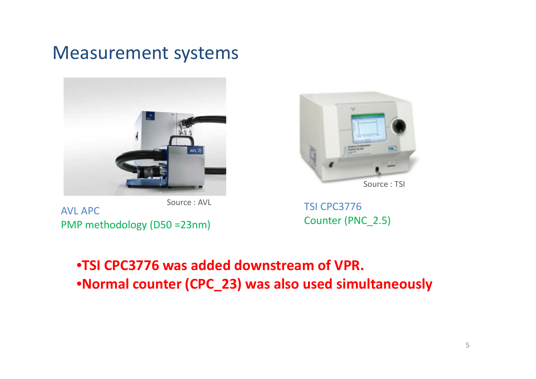#### Measurement systems





AVL APCPMP methodology (D50 =23nm)



**TSI CPC3776** 

Counter (PNC\_2.5)

#### •**TSI CPC3776 was added downstream of VPR.** •**Normal counter (CPC\_23) was also used simultaneously**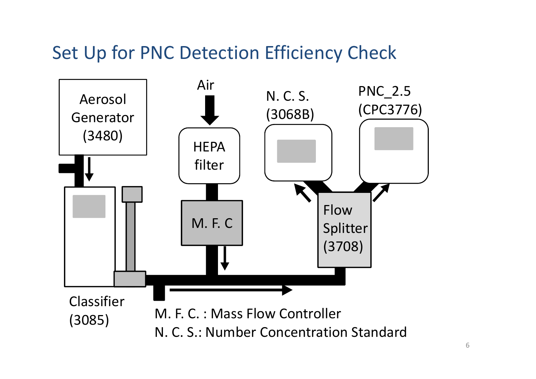#### Set Up for PNC Detection Efficiency Check

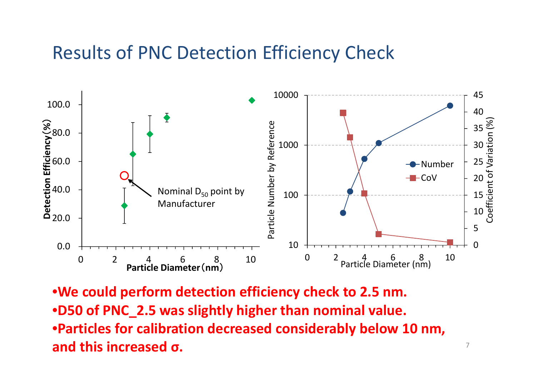#### Results of PNC Detection Efficiency Check



•**We could perform detection efficiency check to 2.5 nm.** •**D50 of PNC\_2.5 was slightly higher than nominal value.** •**Particles for calibration decreased considerably below 10 nm, and this increased σ.**

7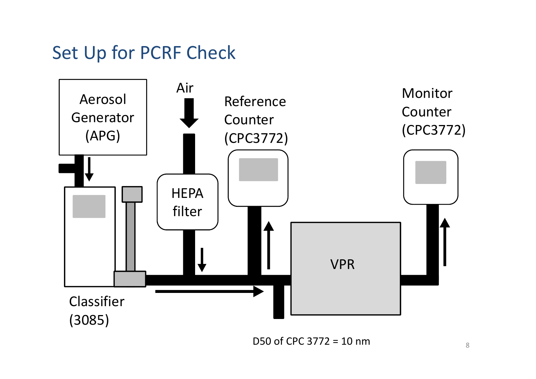### Set Up for PCRF Check



D50 of CPC 3772 <sup>=</sup> 10 nm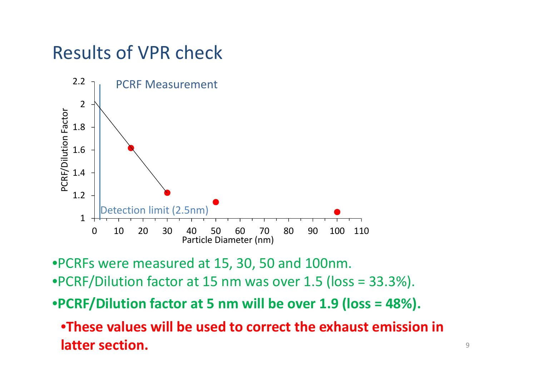## Results of VPR check



•PCRFs were measured at 15, 30, 50 and 100nm. •PCRF/Dilution factor at 15 nm was over 1.5 (loss <sup>=</sup> 33.3%).

•**PCRF/Dilution factor at 5 nm will be over 1.9 (loss <sup>=</sup> 48%).**

•**These values will be used to correct the exhaust emission in latter section.**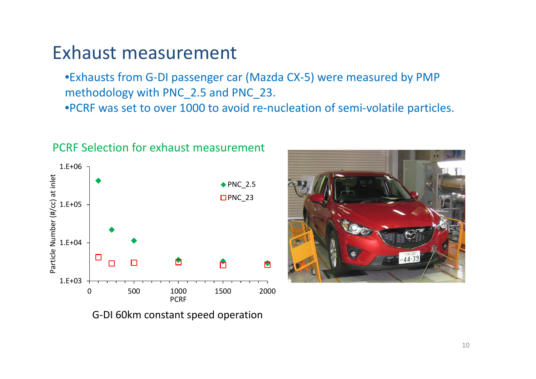#### Exhaust measurement

•Exhausts from G‐DI passenger car (Mazda CX‐5) were measured by PMP methodology with PNC\_2.5 and PNC\_23.

•PCRF was set to over 1000 to avoid re‐nucleation of semi‐volatile particles.



#### PCRF Selection for exhaust measurement

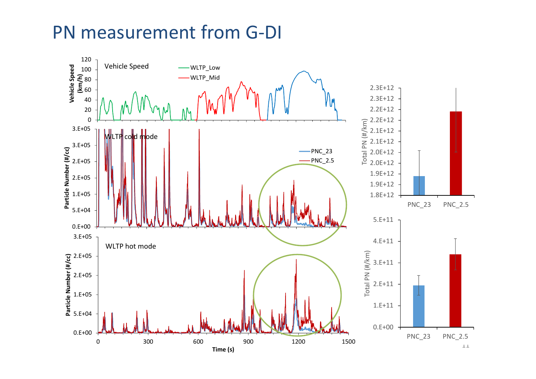#### PN measurement from G ‐DI

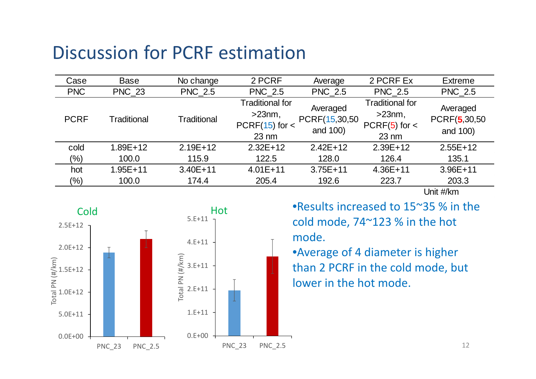#### Discussion for PCRF estimation

| Case        | <b>Base</b>   | No change      | 2 PCRF                                                                         | Average                               | 2 PCRF Ex                                                                     | <b>Extreme</b>                       |
|-------------|---------------|----------------|--------------------------------------------------------------------------------|---------------------------------------|-------------------------------------------------------------------------------|--------------------------------------|
| <b>PNC</b>  | <b>PNC 23</b> | <b>PNC 2.5</b> | <b>PNC 2.5</b>                                                                 | <b>PNC_2.5</b>                        | <b>PNC_2.5</b>                                                                | <b>PNC_2.5</b>                       |
| <b>PCRF</b> | Traditional   | Traditional    | <b>Traditional for</b><br>$>23$ nm,<br>$PCRF(15)$ for $\lt$<br>$23 \text{ nm}$ | Averaged<br>PCRF(15,30,50<br>and 100) | <b>Traditional for</b><br>$>23$ nm,<br>$PCRF(5)$ for $\lt$<br>$23 \text{ nm}$ | Averaged<br>PCRF(5,30,50<br>and 100) |
| cold        | $1.89E + 12$  | $2.19E+12$     | $2.32E+12$                                                                     | $2.42E+12$                            | $2.39E+12$                                                                    | $2.55E+12$                           |
| $(\%)$      | 100.0         | 115.9          | 122.5                                                                          | 128.0                                 | 126.4                                                                         | 135.1                                |
| hot         | $1.95E + 11$  | $3.40E + 11$   | $4.01E + 11$                                                                   | $3.75E + 11$                          | $4.36E + 11$                                                                  | $3.96E + 11$                         |
| $(\%)$      | 100.0         | 174.4          | 205.4                                                                          | 192.6                                 | 223.7                                                                         | 203.3                                |

Unit #/km



Hot **•Results increased to 15~35 % in the** cold mode, 74~123 % in the hot mode.

> •Average of 4 diameter is higher than 2 PCRF in the cold mode, but lower in the hot mode.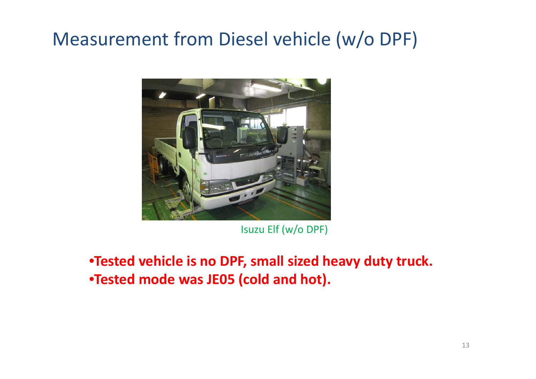## Measurement from Diesel vehicle (w/o DPF)



Isuzu Elf (w/o DPF)

•**Tested vehicle is no DPF, small sized heavy duty truck.** •**Tested mode was JE05 (cold and hot).**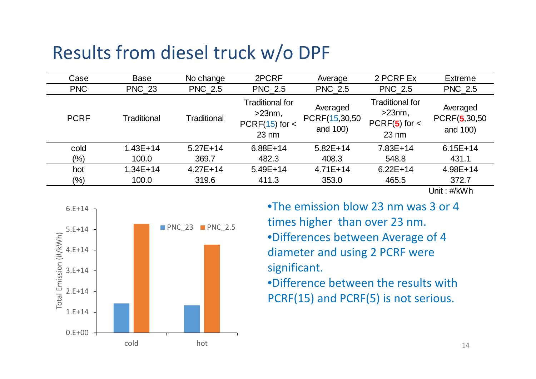#### Results from diesel truck w/o DPF

| Case        | Base          | No change      | 2PCRF                                                                          | Average                               | 2 PCRF Ex                                                                     | <b>Extreme</b>                                |
|-------------|---------------|----------------|--------------------------------------------------------------------------------|---------------------------------------|-------------------------------------------------------------------------------|-----------------------------------------------|
| <b>PNC</b>  | <b>PNC_23</b> | <b>PNC_2.5</b> | <b>PNC_2.5</b>                                                                 | <b>PNC_2.5</b>                        | <b>PNC_2.5</b>                                                                | <b>PNC_2.5</b>                                |
| <b>PCRF</b> | Traditional   | Traditional    | <b>Traditional for</b><br>$>23$ nm,<br>$PCRF(15)$ for $\lt$<br>$23 \text{ nm}$ | Averaged<br>PCRF(15,30,50<br>and 100) | <b>Traditional for</b><br>$>23$ nm,<br>$PCRF(5)$ for $\lt$<br>$23 \text{ nm}$ | Averaged<br>PCRF(5,30,50<br>and 100)          |
| cold        | $1.43E + 14$  | $5.27E+14$     | $6.88E+14$                                                                     | $5.82E+14$                            | $7.83E+14$                                                                    | $6.15E + 14$                                  |
| $(\%)$      | 100.0         | 369.7          | 482.3                                                                          | 408.3                                 | 548.8                                                                         | 431.1                                         |
| hot         | $1.34E + 14$  | $4.27E + 14$   | $5.49E + 14$                                                                   | $4.71E+14$                            | $6.22E+14$                                                                    | $4.98E + 14$                                  |
| $(\%)$      | 100.0         | 319.6          | 411.3                                                                          | 353.0                                 | 465.5                                                                         | 372.7                                         |
|             |               |                |                                                                                |                                       |                                                                               | $1 L_{\odot} L_{\odot}$ $\sim$ $11/L_{\odot}$ |

Unit : #/kWh



•The emission blow 23 nm was 3 or 4 times higher than over 23 nm. •Differences between Average of 4 diameter and using 2 PCRF were significant.

•Difference between the results with PCRF(15) and PCRF(5) is not serious.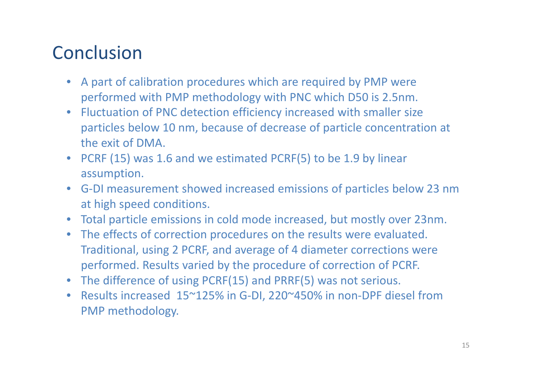## **Conclusion**

- A part of calibration procedures which are required by PMP were performed with PMP methodology with PNC which D50 is 2.5nm.
- $\bullet$  Fluctuation of PNC detection efficiency increased with smaller size particles below 10 nm, because of decrease of particle concentration at the exit of DMA.
- PCRF (15) was 1.6 and we estimated PCRF(5) to be 1.9 by linear assumption.
- G‐DI measurement showed increased emissions of particles below 23 nm at high speed conditions.
- Total particle emissions in cold mode increased, but mostly over 23nm.
- $\bullet$  The effects of correction procedures on the results were evaluated. Traditional, using 2 PCRF, and average of 4 diameter corrections were performed. Results varied by the procedure of correction of PCRF.
- The difference of using PCRF(15) and PRRF(5) was not serious.
- $\bullet$ ● Results increased 15~125% in G-DI, 220~450% in non-DPF diesel from PMP methodology.